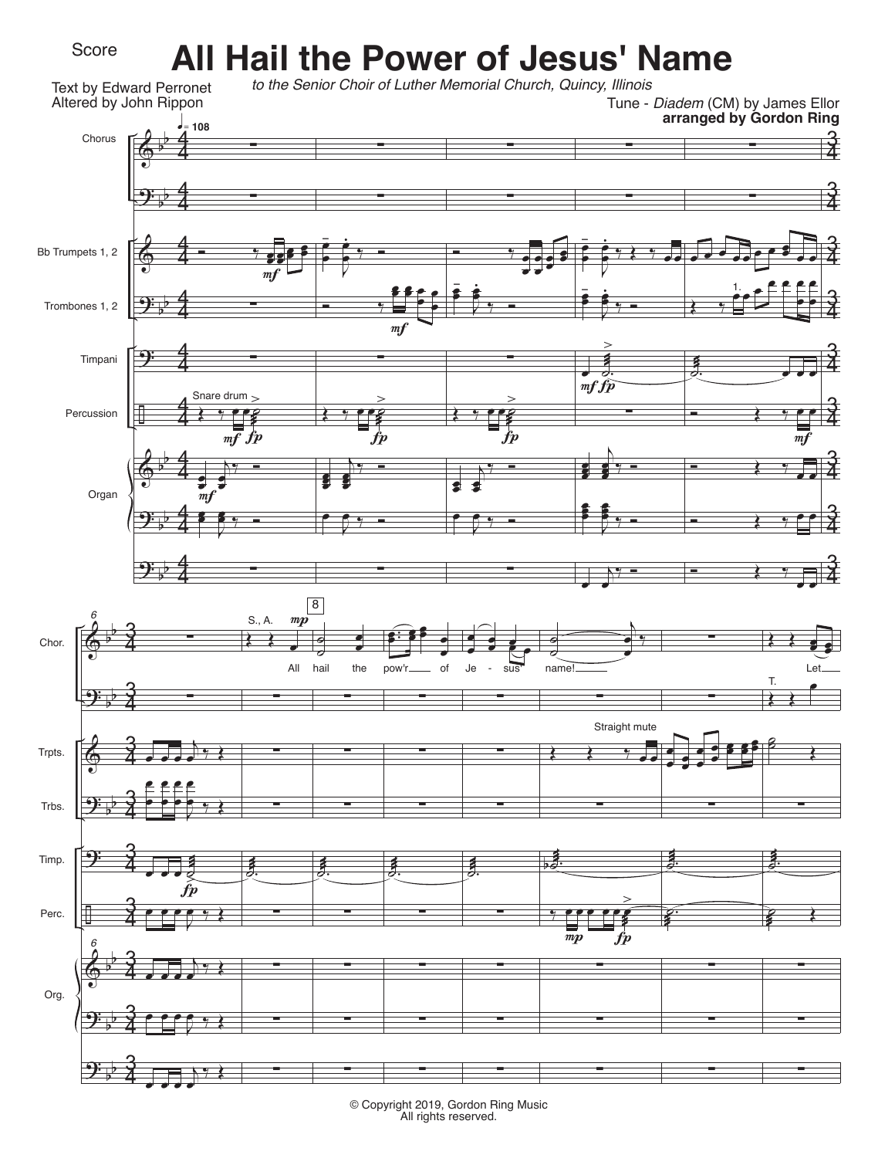## Score

## **All Hail the Power of Jesus' Name**

to the Senior Choir of Luther Memorial Church, Quincy, Illinois



<sup>©</sup> Copyright 2019, Gordon Ring Music All rights reserved.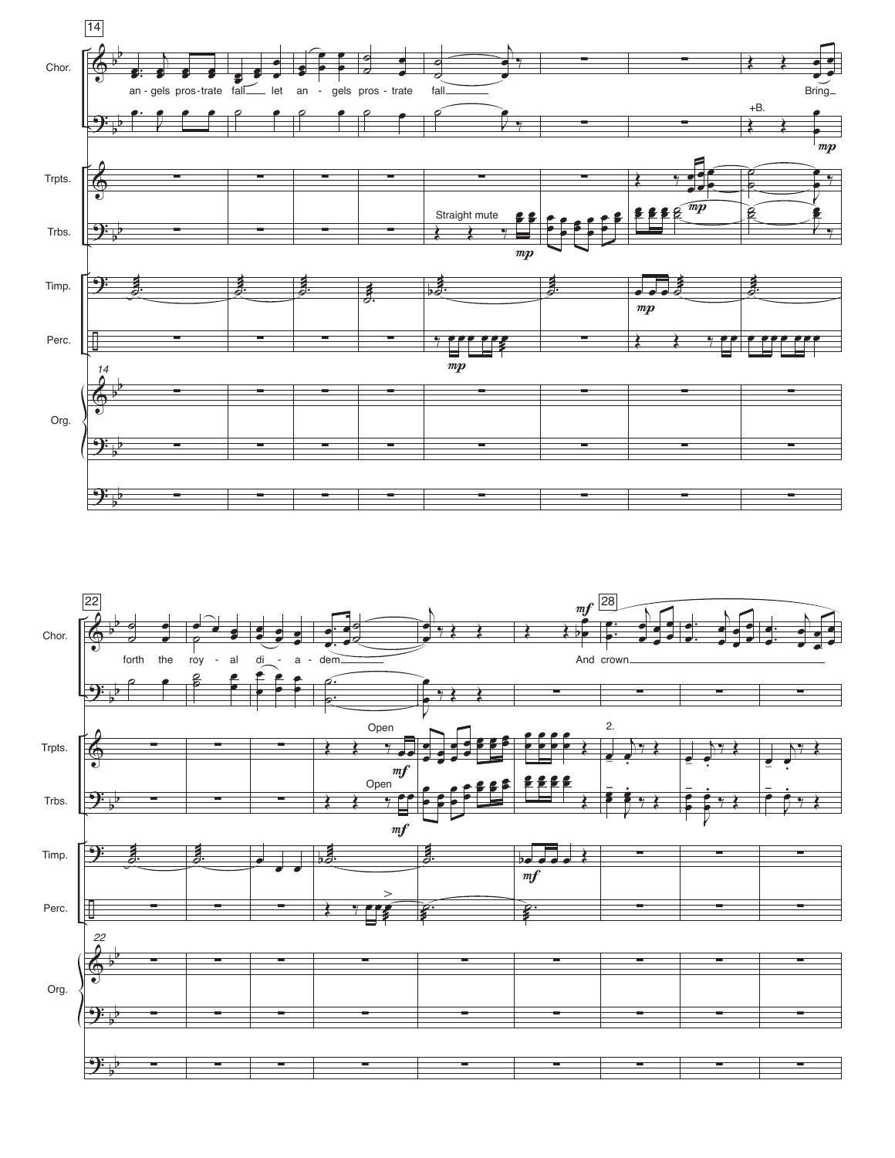

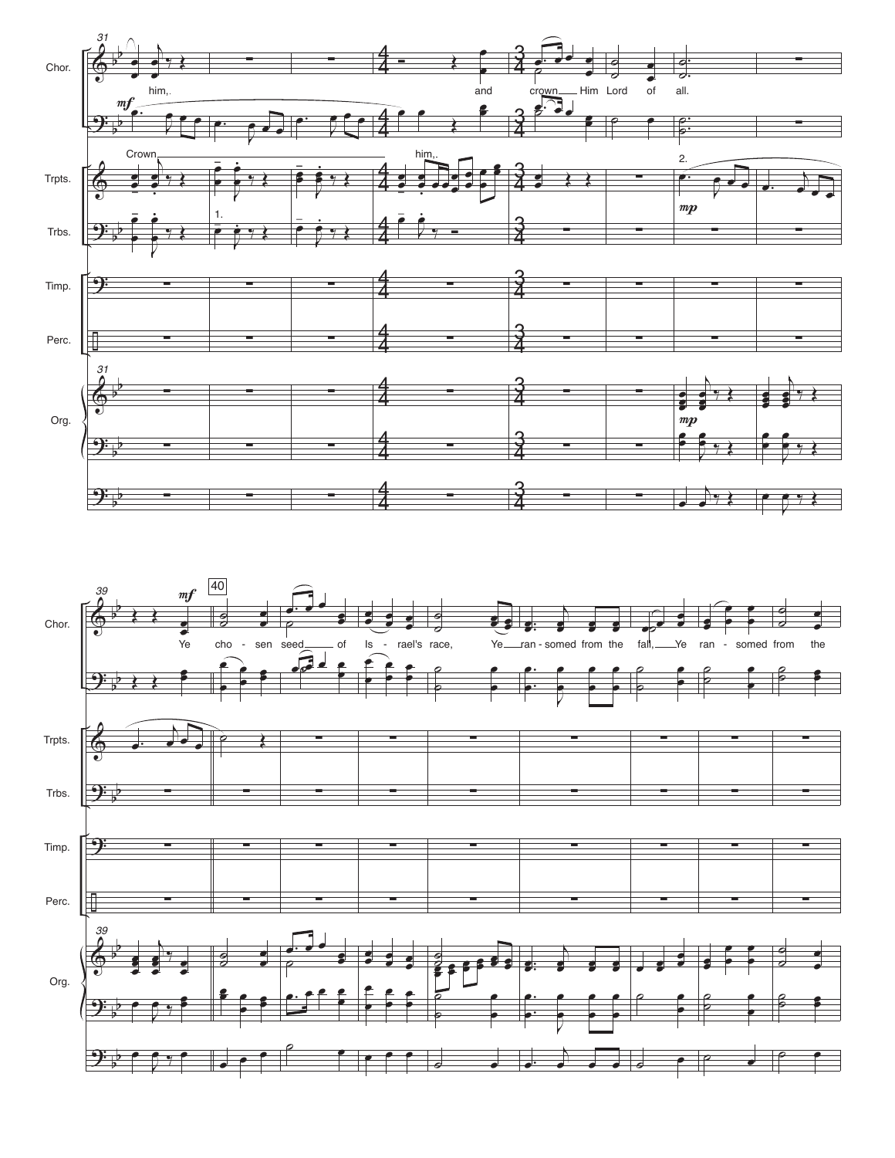

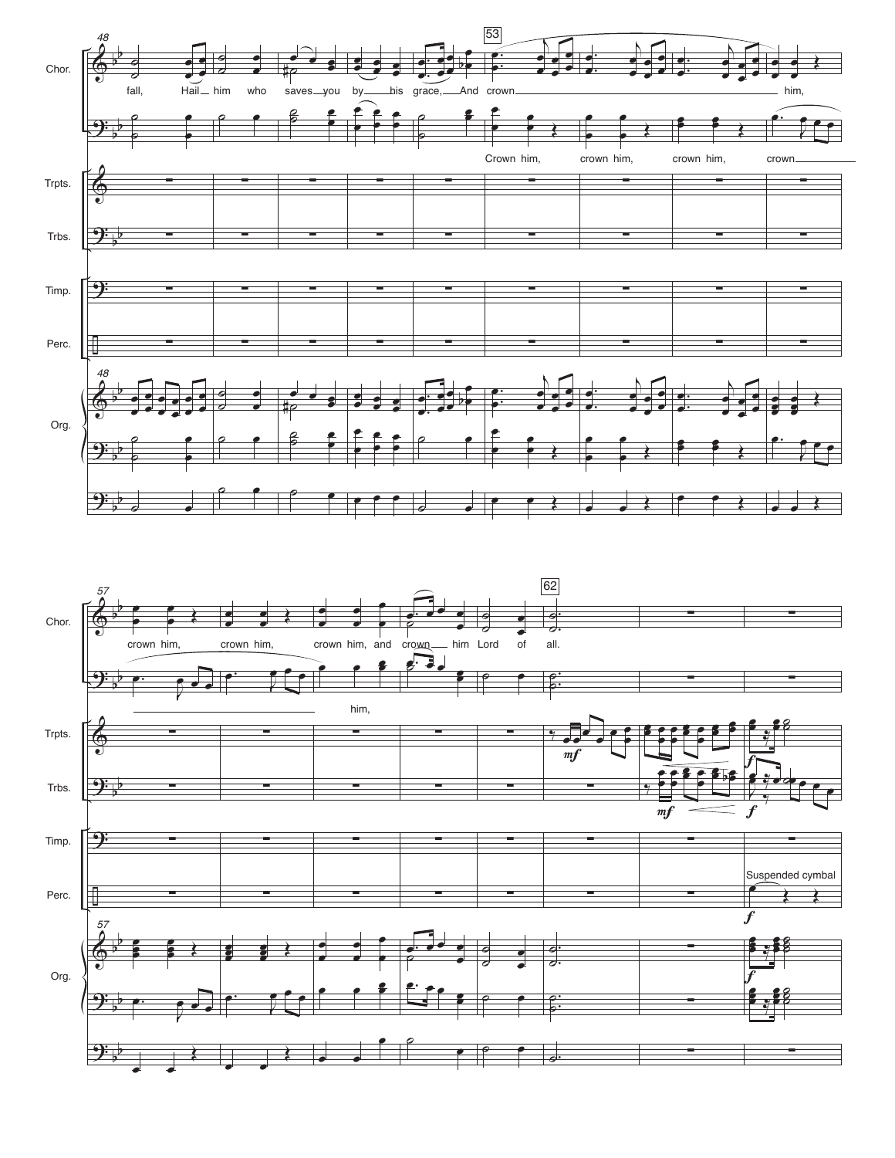

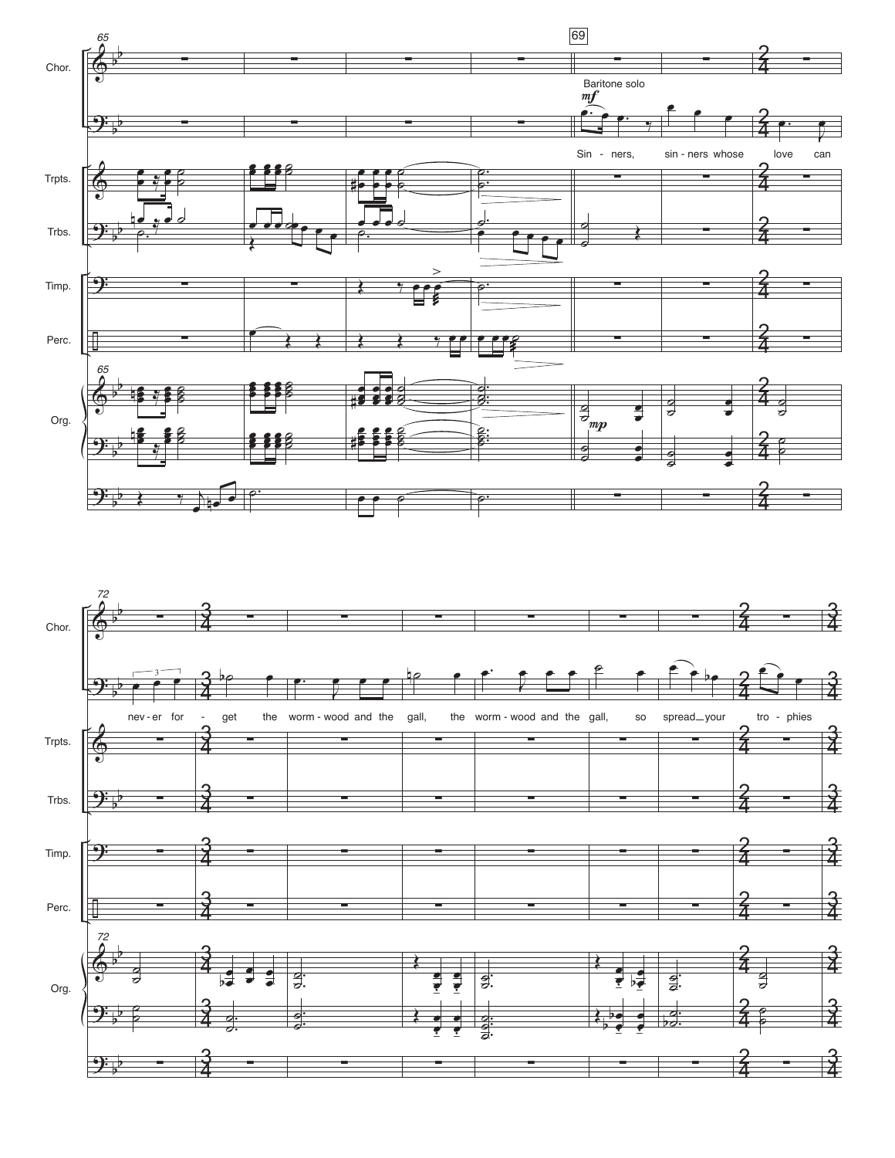

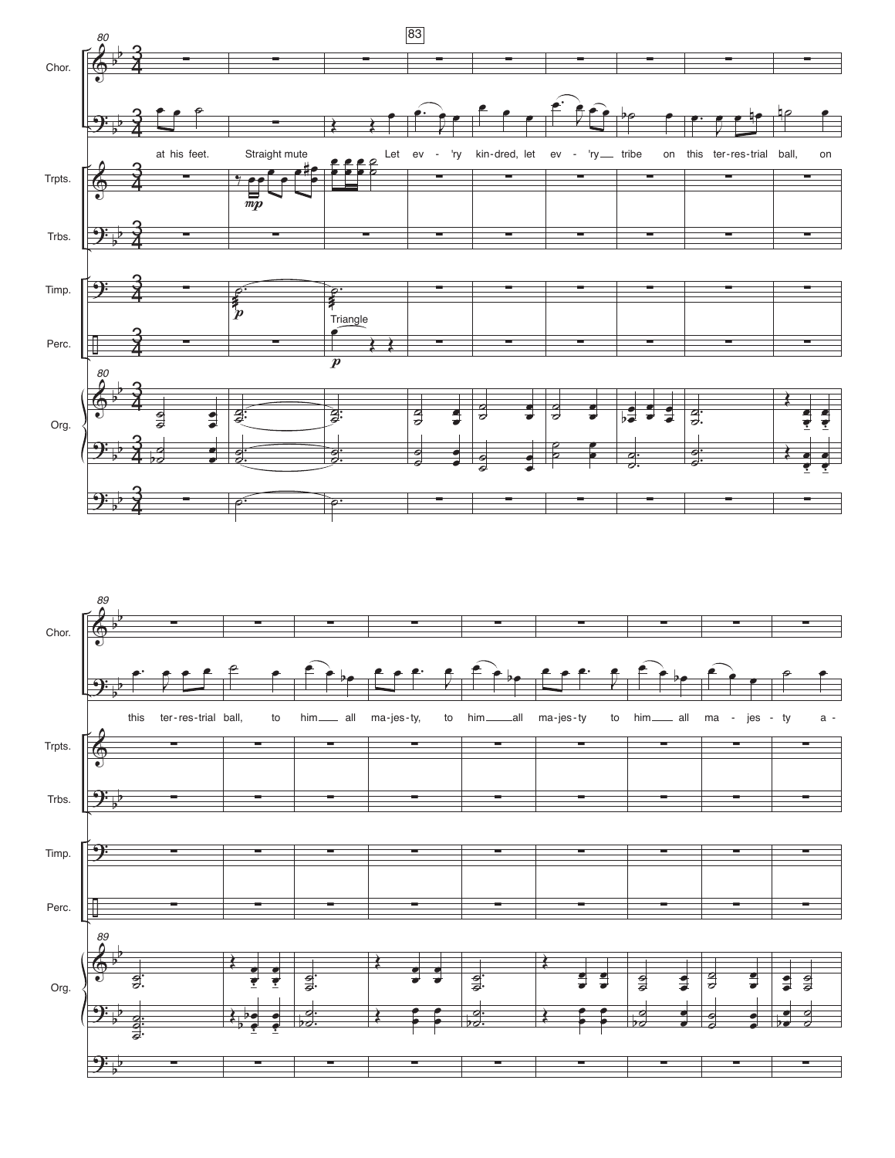

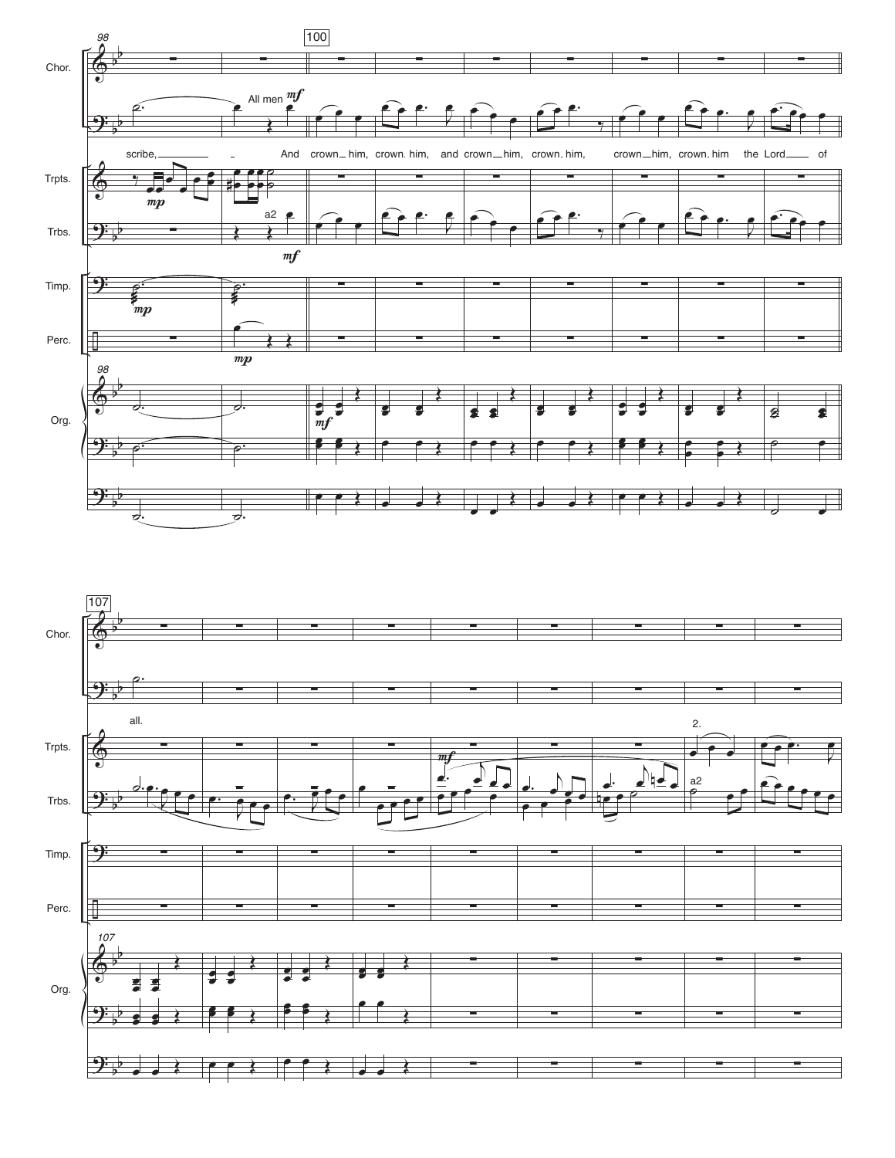

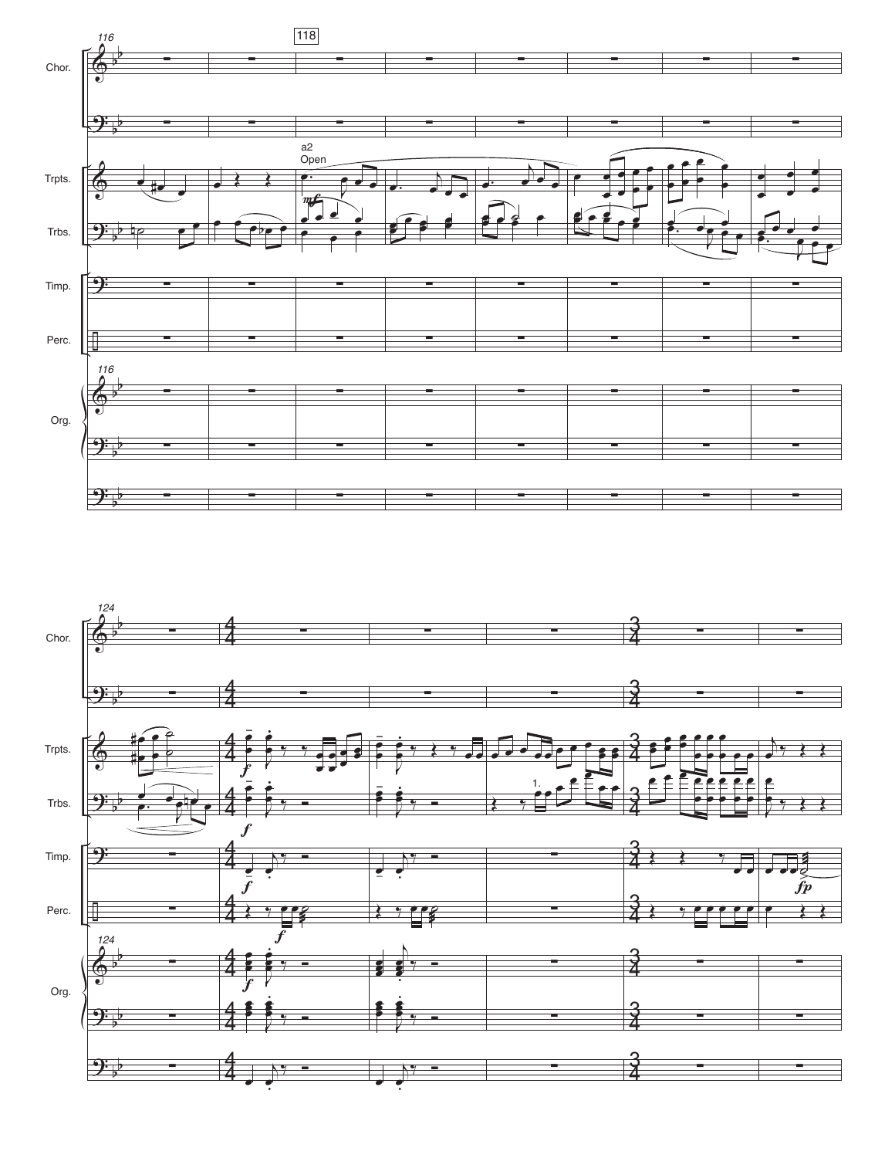

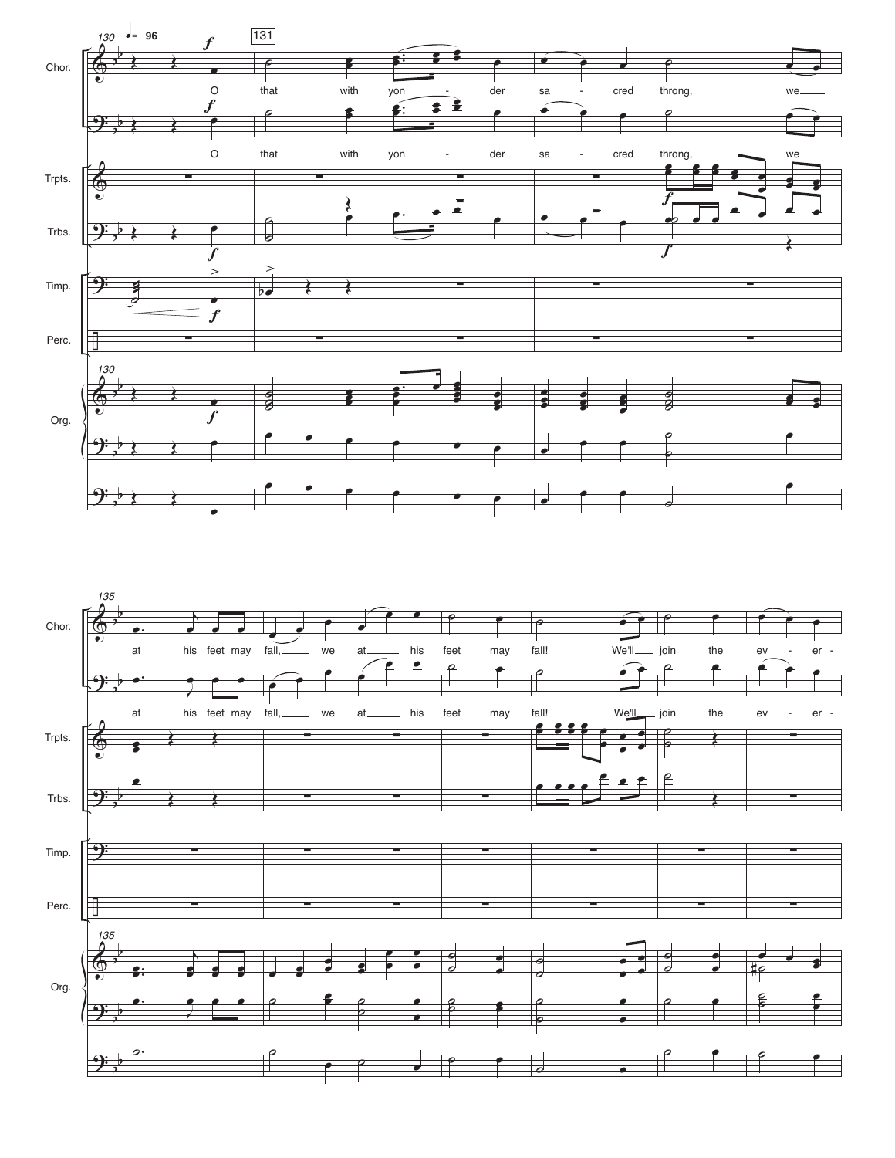

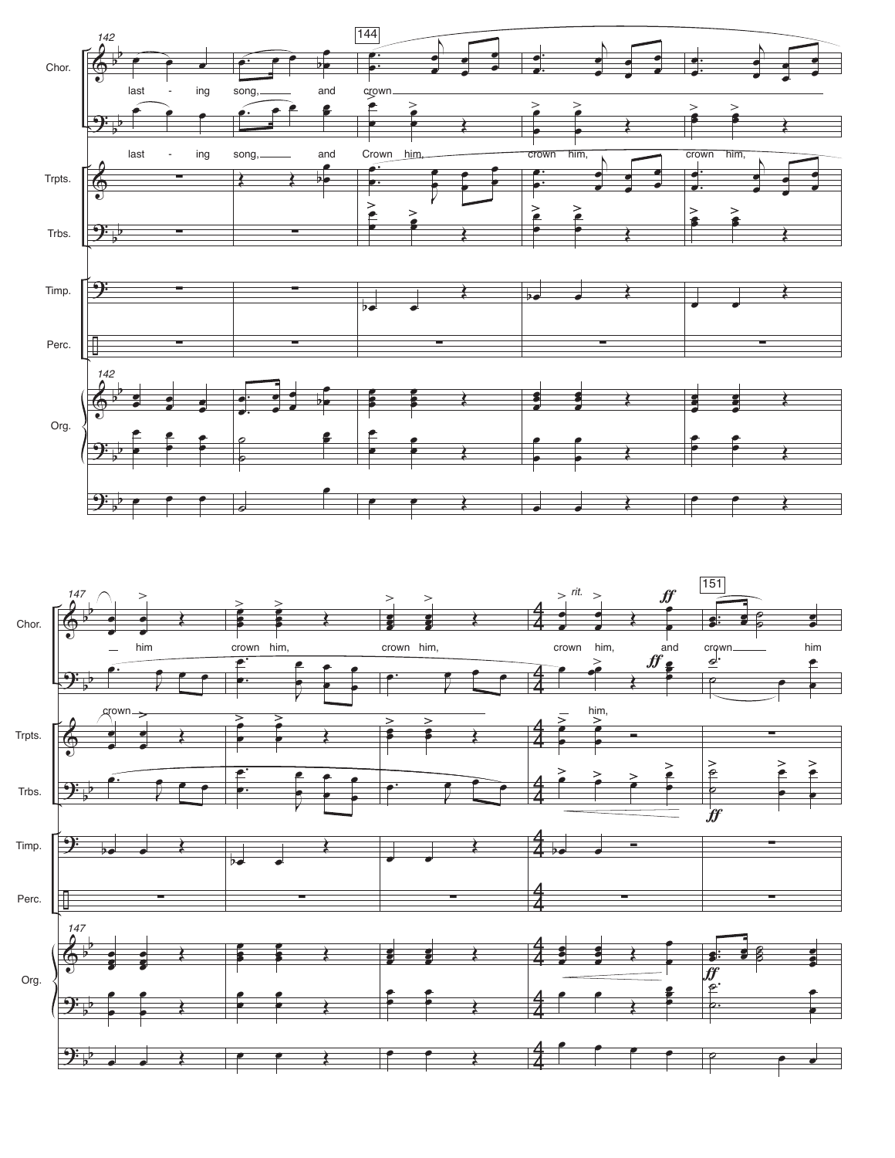